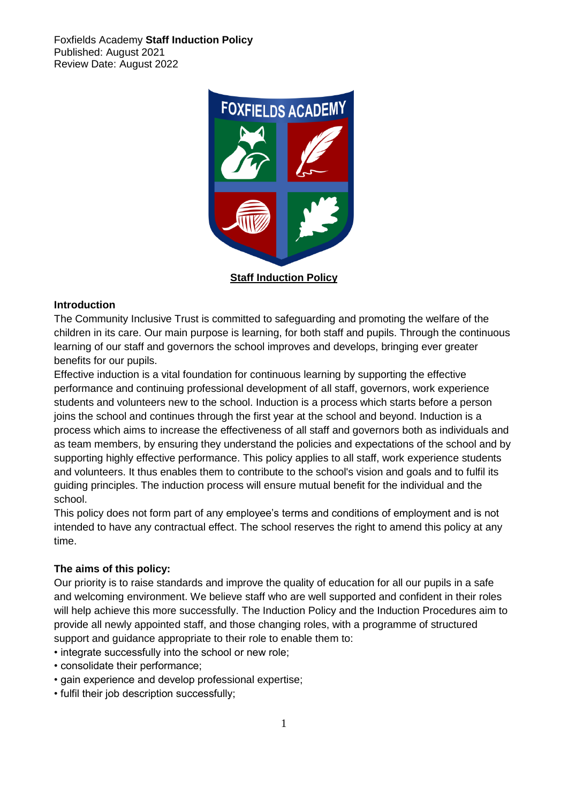

#### **Introduction**

The Community Inclusive Trust is committed to safeguarding and promoting the welfare of the children in its care. Our main purpose is learning, for both staff and pupils. Through the continuous learning of our staff and governors the school improves and develops, bringing ever greater benefits for our pupils.

Effective induction is a vital foundation for continuous learning by supporting the effective performance and continuing professional development of all staff, governors, work experience students and volunteers new to the school. Induction is a process which starts before a person joins the school and continues through the first year at the school and beyond. Induction is a process which aims to increase the effectiveness of all staff and governors both as individuals and as team members, by ensuring they understand the policies and expectations of the school and by supporting highly effective performance. This policy applies to all staff, work experience students and volunteers. It thus enables them to contribute to the school's vision and goals and to fulfil its guiding principles. The induction process will ensure mutual benefit for the individual and the school.

This policy does not form part of any employee's terms and conditions of employment and is not intended to have any contractual effect. The school reserves the right to amend this policy at any time.

#### **The aims of this policy:**

Our priority is to raise standards and improve the quality of education for all our pupils in a safe and welcoming environment. We believe staff who are well supported and confident in their roles will help achieve this more successfully. The Induction Policy and the Induction Procedures aim to provide all newly appointed staff, and those changing roles, with a programme of structured support and guidance appropriate to their role to enable them to:

- integrate successfully into the school or new role;
- consolidate their performance;
- gain experience and develop professional expertise;
- fulfil their job description successfully;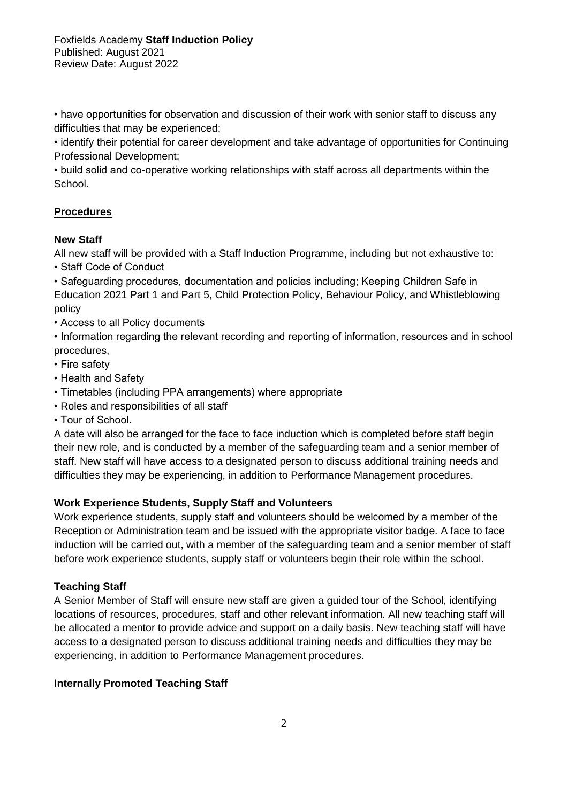• have opportunities for observation and discussion of their work with senior staff to discuss any difficulties that may be experienced;

• identify their potential for career development and take advantage of opportunities for Continuing Professional Development;

• build solid and co-operative working relationships with staff across all departments within the School.

# **Procedures**

## **New Staff**

All new staff will be provided with a Staff Induction Programme, including but not exhaustive to: • Staff Code of Conduct

• Safeguarding procedures, documentation and policies including; Keeping Children Safe in Education 2021 Part 1 and Part 5, Child Protection Policy, Behaviour Policy, and Whistleblowing policy

- Access to all Policy documents
- Information regarding the relevant recording and reporting of information, resources and in school procedures,
- Fire safety
- Health and Safety
- Timetables (including PPA arrangements) where appropriate
- Roles and responsibilities of all staff
- Tour of School.

A date will also be arranged for the face to face induction which is completed before staff begin their new role, and is conducted by a member of the safeguarding team and a senior member of staff. New staff will have access to a designated person to discuss additional training needs and difficulties they may be experiencing, in addition to Performance Management procedures.

## **Work Experience Students, Supply Staff and Volunteers**

Work experience students, supply staff and volunteers should be welcomed by a member of the Reception or Administration team and be issued with the appropriate visitor badge. A face to face induction will be carried out, with a member of the safeguarding team and a senior member of staff before work experience students, supply staff or volunteers begin their role within the school.

## **Teaching Staff**

A Senior Member of Staff will ensure new staff are given a guided tour of the School, identifying locations of resources, procedures, staff and other relevant information. All new teaching staff will be allocated a mentor to provide advice and support on a daily basis. New teaching staff will have access to a designated person to discuss additional training needs and difficulties they may be experiencing, in addition to Performance Management procedures.

## **Internally Promoted Teaching Staff**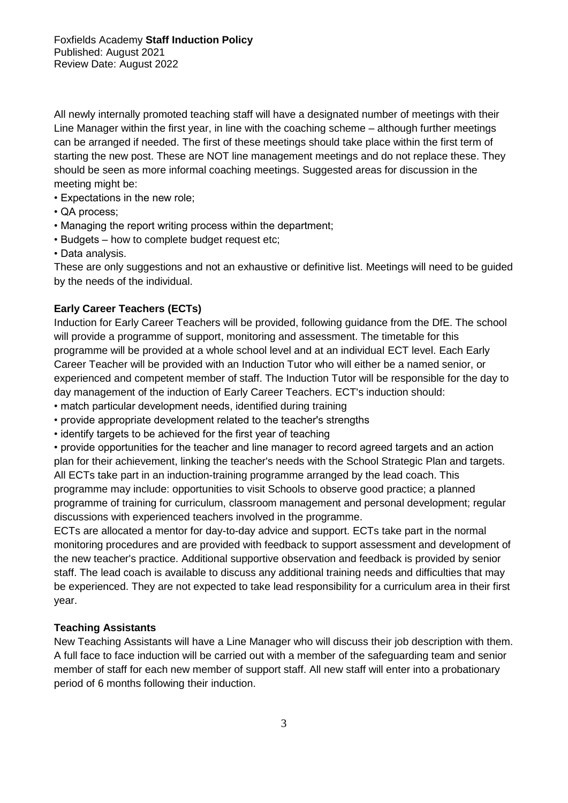All newly internally promoted teaching staff will have a designated number of meetings with their Line Manager within the first year, in line with the coaching scheme – although further meetings can be arranged if needed. The first of these meetings should take place within the first term of starting the new post. These are NOT line management meetings and do not replace these. They should be seen as more informal coaching meetings. Suggested areas for discussion in the meeting might be:

- Expectations in the new role;
- QA process;
- Managing the report writing process within the department;
- Budgets how to complete budget request etc;
- Data analysis.

These are only suggestions and not an exhaustive or definitive list. Meetings will need to be guided by the needs of the individual.

### **Early Career Teachers (ECTs)**

Induction for Early Career Teachers will be provided, following guidance from the DfE. The school will provide a programme of support, monitoring and assessment. The timetable for this programme will be provided at a whole school level and at an individual ECT level. Each Early Career Teacher will be provided with an Induction Tutor who will either be a named senior, or experienced and competent member of staff. The Induction Tutor will be responsible for the day to day management of the induction of Early Career Teachers. ECT's induction should:

- match particular development needs, identified during training
- provide appropriate development related to the teacher's strengths
- identify targets to be achieved for the first year of teaching

• provide opportunities for the teacher and line manager to record agreed targets and an action plan for their achievement, linking the teacher's needs with the School Strategic Plan and targets. All ECTs take part in an induction-training programme arranged by the lead coach. This programme may include: opportunities to visit Schools to observe good practice; a planned programme of training for curriculum, classroom management and personal development; regular discussions with experienced teachers involved in the programme.

ECTs are allocated a mentor for day-to-day advice and support. ECTs take part in the normal monitoring procedures and are provided with feedback to support assessment and development of the new teacher's practice. Additional supportive observation and feedback is provided by senior staff. The lead coach is available to discuss any additional training needs and difficulties that may be experienced. They are not expected to take lead responsibility for a curriculum area in their first year.

#### **Teaching Assistants**

New Teaching Assistants will have a Line Manager who will discuss their job description with them. A full face to face induction will be carried out with a member of the safeguarding team and senior member of staff for each new member of support staff. All new staff will enter into a probationary period of 6 months following their induction.